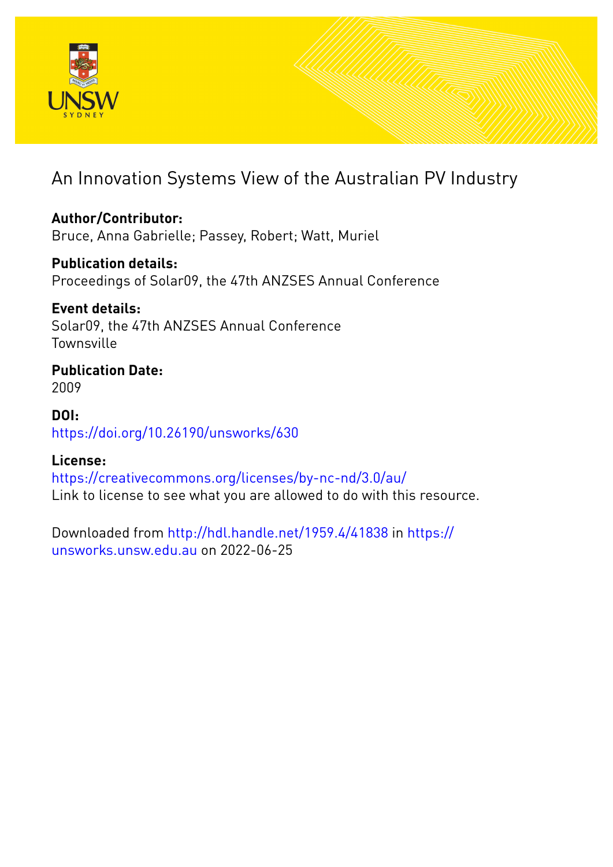

# An Innovation Systems View of the Australian PV Industry

**Author/Contributor:** Bruce, Anna Gabrielle; Passey, Robert; Watt, Muriel

**Publication details:** Proceedings of Solar09, the 47th ANZSES Annual Conference

**Event details:** Solar09, the 47th ANZSES Annual Conference **Townsville** 

**Publication Date:** 2009

**DOI:** [https://doi.org/10.26190/unsworks/630](http://dx.doi.org/https://doi.org/10.26190/unsworks/630)

## **License:**

<https://creativecommons.org/licenses/by-nc-nd/3.0/au/> Link to license to see what you are allowed to do with this resource.

Downloaded from <http://hdl.handle.net/1959.4/41838> in [https://](https://unsworks.unsw.edu.au) [unsworks.unsw.edu.au](https://unsworks.unsw.edu.au) on 2022-06-25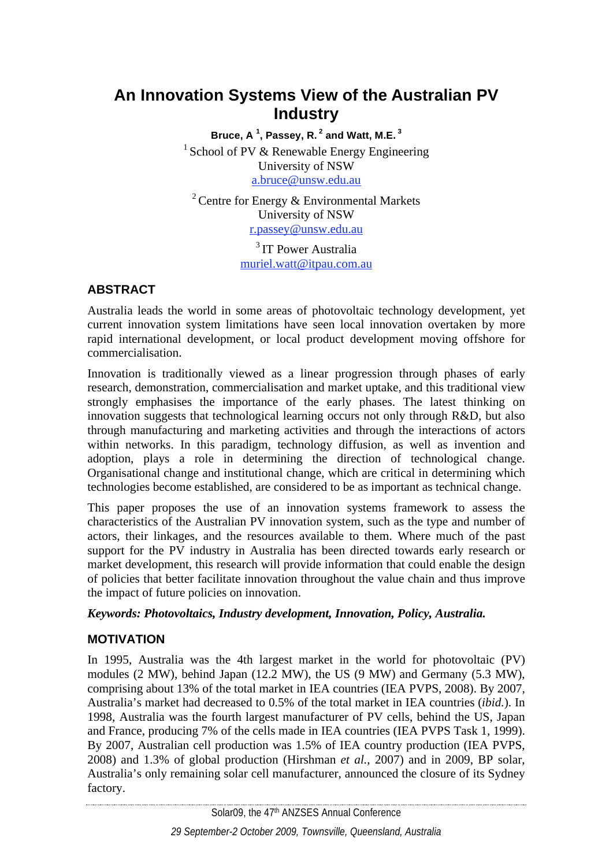## **An Innovation Systems View of the Australian PV Industry**

**Bruce, A <sup>1</sup> , Passey, R. 2 and Watt, M.E. 3**  <sup>1</sup> School of PV  $\&$  Renewable Energy Engineering University of NSW a.bruce@unsw.edu.au

<sup>2</sup> Centre for Energy  $\&$  Environmental Markets University of NSW r.passey@unsw.edu.au

<sup>3</sup> IT Power Australia muriel.watt@itpau.com.au

## **ABSTRACT**

Australia leads the world in some areas of photovoltaic technology development, yet current innovation system limitations have seen local innovation overtaken by more rapid international development, or local product development moving offshore for commercialisation.

Innovation is traditionally viewed as a linear progression through phases of early research, demonstration, commercialisation and market uptake, and this traditional view strongly emphasises the importance of the early phases. The latest thinking on innovation suggests that technological learning occurs not only through R&D, but also through manufacturing and marketing activities and through the interactions of actors within networks. In this paradigm, technology diffusion, as well as invention and adoption, plays a role in determining the direction of technological change. Organisational change and institutional change, which are critical in determining which technologies become established, are considered to be as important as technical change.

This paper proposes the use of an innovation systems framework to assess the characteristics of the Australian PV innovation system, such as the type and number of actors, their linkages, and the resources available to them. Where much of the past support for the PV industry in Australia has been directed towards early research or market development, this research will provide information that could enable the design of policies that better facilitate innovation throughout the value chain and thus improve the impact of future policies on innovation.

## *Keywords: Photovoltaics, Industry development, Innovation, Policy, Australia.*

## **MOTIVATION**

In 1995, Australia was the 4th largest market in the world for photovoltaic (PV) modules (2 MW), behind Japan (12.2 MW), the US (9 MW) and Germany (5.3 MW), comprising about 13% of the total market in IEA countries (IEA PVPS, 2008). By 2007, Australia's market had decreased to 0.5% of the total market in IEA countries (*ibid.*). In 1998, Australia was the fourth largest manufacturer of PV cells, behind the US, Japan and France, producing 7% of the cells made in IEA countries (IEA PVPS Task 1, 1999). By 2007, Australian cell production was 1.5% of IEA country production (IEA PVPS, 2008) and 1.3% of global production (Hirshman *et al.*, 2007) and in 2009, BP solar, Australia's only remaining solar cell manufacturer, announced the closure of its Sydney factory.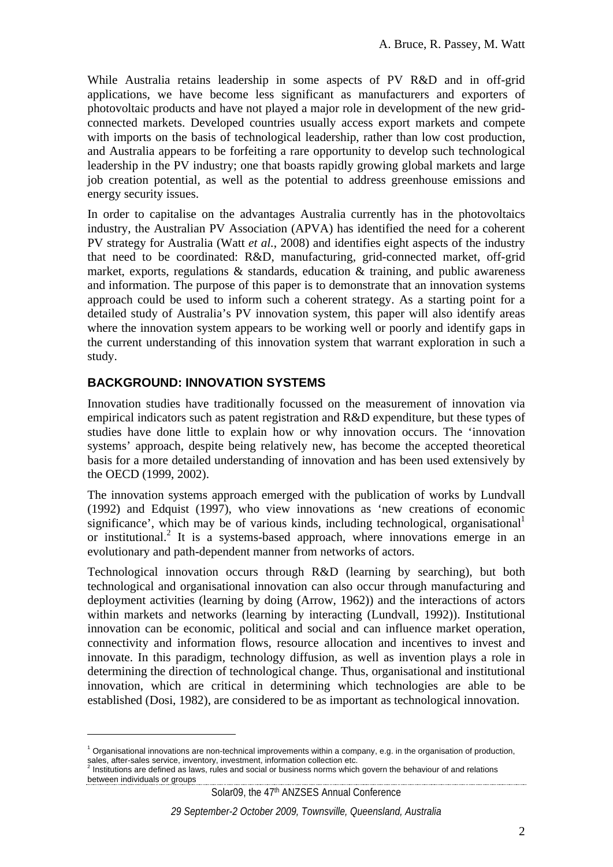While Australia retains leadership in some aspects of PV R&D and in off-grid applications, we have become less significant as manufacturers and exporters of photovoltaic products and have not played a major role in development of the new gridconnected markets. Developed countries usually access export markets and compete with imports on the basis of technological leadership, rather than low cost production, and Australia appears to be forfeiting a rare opportunity to develop such technological leadership in the PV industry; one that boasts rapidly growing global markets and large job creation potential, as well as the potential to address greenhouse emissions and energy security issues.

In order to capitalise on the advantages Australia currently has in the photovoltaics industry, the Australian PV Association (APVA) has identified the need for a coherent PV strategy for Australia (Watt *et al.*, 2008) and identifies eight aspects of the industry that need to be coordinated: R&D, manufacturing, grid-connected market, off-grid market, exports, regulations & standards, education & training, and public awareness and information. The purpose of this paper is to demonstrate that an innovation systems approach could be used to inform such a coherent strategy. As a starting point for a detailed study of Australia's PV innovation system, this paper will also identify areas where the innovation system appears to be working well or poorly and identify gaps in the current understanding of this innovation system that warrant exploration in such a study.

## **BACKGROUND: INNOVATION SYSTEMS**

 $\overline{a}$ 

Innovation studies have traditionally focussed on the measurement of innovation via empirical indicators such as patent registration and R&D expenditure, but these types of studies have done little to explain how or why innovation occurs. The 'innovation systems' approach, despite being relatively new, has become the accepted theoretical basis for a more detailed understanding of innovation and has been used extensively by the OECD (1999, 2002).

The innovation systems approach emerged with the publication of works by Lundvall (1992) and Edquist (1997), who view innovations as 'new creations of economic significance', which may be of various kinds, including technological, organisational<sup>1</sup> or institutional.<sup>2</sup> It is a systems-based approach, where innovations emerge in an evolutionary and path-dependent manner from networks of actors.

Technological innovation occurs through R&D (learning by searching), but both technological and organisational innovation can also occur through manufacturing and deployment activities (learning by doing (Arrow, 1962)) and the interactions of actors within markets and networks (learning by interacting (Lundvall, 1992)). Institutional innovation can be economic, political and social and can influence market operation, connectivity and information flows, resource allocation and incentives to invest and innovate. In this paradigm, technology diffusion, as well as invention plays a role in determining the direction of technological change. Thus, organisational and institutional innovation, which are critical in determining which technologies are able to be established (Dosi, 1982), are considered to be as important as technological innovation.

<sup>&</sup>lt;sup>1</sup> Organisational innovations are non-technical improvements within a company, e.g. in the organisation of production, sales, after-sales service, inventory, investment, information collection etc. 2

Institutions are defined as laws, rules and social or business norms which govern the behaviour of and relations between individuals or groups example and the set of the set of the set of the set of the set of the set of the set of the set of the set of the set of the set of the set of the set of the set of the set of the set of the

Solar09, the 47<sup>th</sup> ANZSES Annual Conference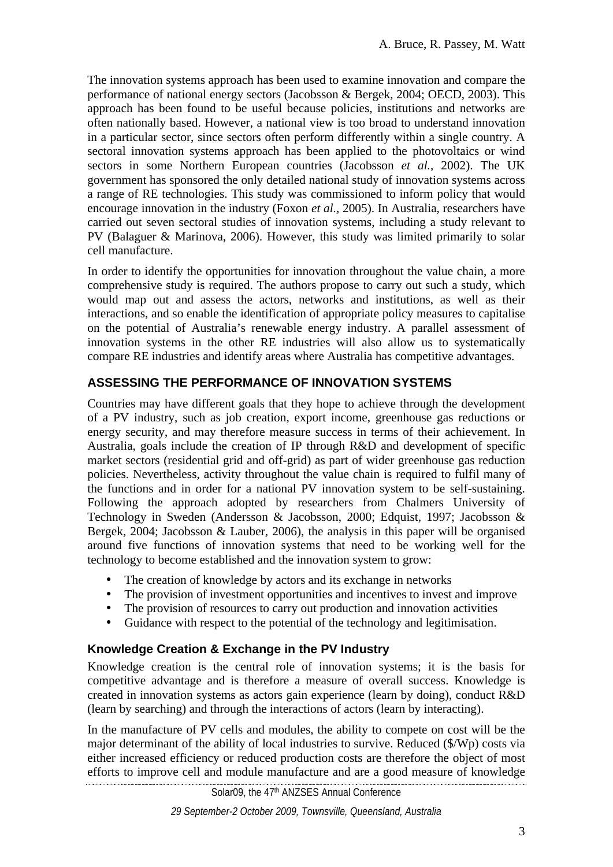The innovation systems approach has been used to examine innovation and compare the performance of national energy sectors (Jacobsson & Bergek, 2004; OECD, 2003). This approach has been found to be useful because policies, institutions and networks are often nationally based. However, a national view is too broad to understand innovation in a particular sector, since sectors often perform differently within a single country. A sectoral innovation systems approach has been applied to the photovoltaics or wind sectors in some Northern European countries (Jacobsson *et al.*, 2002). The UK government has sponsored the only detailed national study of innovation systems across a range of RE technologies. This study was commissioned to inform policy that would encourage innovation in the industry (Foxon *et al.*, 2005). In Australia, researchers have carried out seven sectoral studies of innovation systems, including a study relevant to PV (Balaguer & Marinova, 2006). However, this study was limited primarily to solar cell manufacture.

In order to identify the opportunities for innovation throughout the value chain, a more comprehensive study is required. The authors propose to carry out such a study, which would map out and assess the actors, networks and institutions, as well as their interactions, and so enable the identification of appropriate policy measures to capitalise on the potential of Australia's renewable energy industry. A parallel assessment of innovation systems in the other RE industries will also allow us to systematically compare RE industries and identify areas where Australia has competitive advantages.

## **ASSESSING THE PERFORMANCE OF INNOVATION SYSTEMS**

Countries may have different goals that they hope to achieve through the development of a PV industry, such as job creation, export income, greenhouse gas reductions or energy security, and may therefore measure success in terms of their achievement. In Australia, goals include the creation of IP through R&D and development of specific market sectors (residential grid and off-grid) as part of wider greenhouse gas reduction policies. Nevertheless, activity throughout the value chain is required to fulfil many of the functions and in order for a national PV innovation system to be self-sustaining. Following the approach adopted by researchers from Chalmers University of Technology in Sweden (Andersson & Jacobsson, 2000; Edquist, 1997; Jacobsson & Bergek, 2004; Jacobsson & Lauber, 2006), the analysis in this paper will be organised around five functions of innovation systems that need to be working well for the technology to become established and the innovation system to grow:

- The creation of knowledge by actors and its exchange in networks
- The provision of investment opportunities and incentives to invest and improve
- The provision of resources to carry out production and innovation activities
- Guidance with respect to the potential of the technology and legitimisation.

## **Knowledge Creation & Exchange in the PV Industry**

Knowledge creation is the central role of innovation systems; it is the basis for competitive advantage and is therefore a measure of overall success. Knowledge is created in innovation systems as actors gain experience (learn by doing), conduct R&D (learn by searching) and through the interactions of actors (learn by interacting).

In the manufacture of PV cells and modules, the ability to compete on cost will be the major determinant of the ability of local industries to survive. Reduced (\$/Wp) costs via either increased efficiency or reduced production costs are therefore the object of most efforts to improve cell and module manufacture and are a good measure of knowledge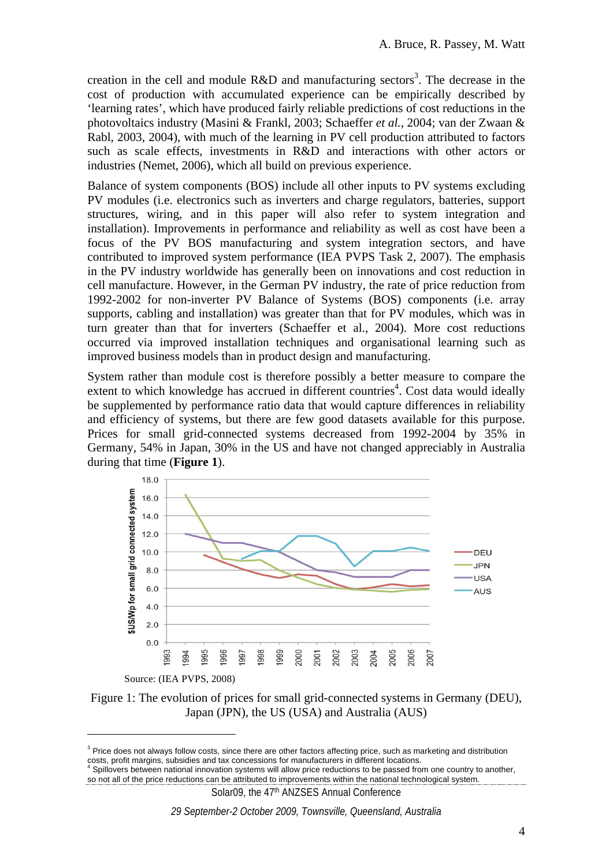creation in the cell and module  $R&D$  and manufacturing sectors<sup>3</sup>. The decrease in the cost of production with accumulated experience can be empirically described by 'learning rates', which have produced fairly reliable predictions of cost reductions in the photovoltaics industry (Masini & Frankl, 2003; Schaeffer *et al.*, 2004; van der Zwaan & Rabl, 2003, 2004), with much of the learning in PV cell production attributed to factors such as scale effects, investments in R&D and interactions with other actors or industries (Nemet, 2006), which all build on previous experience.

Balance of system components (BOS) include all other inputs to PV systems excluding PV modules (i.e. electronics such as inverters and charge regulators, batteries, support structures, wiring, and in this paper will also refer to system integration and installation). Improvements in performance and reliability as well as cost have been a focus of the PV BOS manufacturing and system integration sectors, and have contributed to improved system performance (IEA PVPS Task 2, 2007). The emphasis in the PV industry worldwide has generally been on innovations and cost reduction in cell manufacture. However, in the German PV industry, the rate of price reduction from 1992-2002 for non-inverter PV Balance of Systems (BOS) components (i.e. array supports, cabling and installation) was greater than that for PV modules, which was in turn greater than that for inverters (Schaeffer et al., 2004). More cost reductions occurred via improved installation techniques and organisational learning such as improved business models than in product design and manufacturing.

System rather than module cost is therefore possibly a better measure to compare the extent to which knowledge has accrued in different countries<sup>4</sup>. Cost data would ideally be supplemented by performance ratio data that would capture differences in reliability and efficiency of systems, but there are few good datasets available for this purpose. Prices for small grid-connected systems decreased from 1992-2004 by 35% in Germany, 54% in Japan, 30% in the US and have not changed appreciably in Australia during that time (**Figure 1**).



Figure 1: The evolution of prices for small grid-connected systems in Germany (DEU), Japan (JPN), the US (USA) and Australia (AUS)

 $\overline{a}$ 

Solar09, the 47<sup>th</sup> ANZSES Annual Conference

<sup>&</sup>lt;sup>3</sup> Price does not always follow costs, since there are other factors affecting price, such as marketing and distribution costs, profit margins, subsidies and tax concessions for manufacturers in different locations. 4

Spillovers between national innovation systems will allow price reductions to be passed from one country to another, so not all of the price reductions can be attributed to improvements within the national technological system.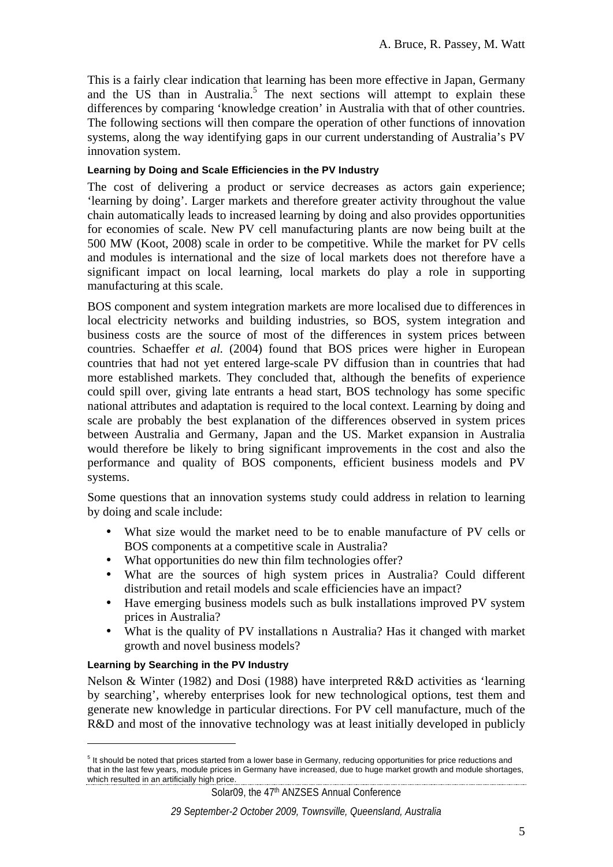This is a fairly clear indication that learning has been more effective in Japan, Germany and the US than in Australia.<sup>5</sup> The next sections will attempt to explain these differences by comparing 'knowledge creation' in Australia with that of other countries. The following sections will then compare the operation of other functions of innovation systems, along the way identifying gaps in our current understanding of Australia's PV innovation system.

#### **Learning by Doing and Scale Efficiencies in the PV Industry**

The cost of delivering a product or service decreases as actors gain experience; 'learning by doing'. Larger markets and therefore greater activity throughout the value chain automatically leads to increased learning by doing and also provides opportunities for economies of scale. New PV cell manufacturing plants are now being built at the 500 MW (Koot, 2008) scale in order to be competitive. While the market for PV cells and modules is international and the size of local markets does not therefore have a significant impact on local learning, local markets do play a role in supporting manufacturing at this scale.

BOS component and system integration markets are more localised due to differences in local electricity networks and building industries, so BOS, system integration and business costs are the source of most of the differences in system prices between countries. Schaeffer *et al.* (2004) found that BOS prices were higher in European countries that had not yet entered large-scale PV diffusion than in countries that had more established markets. They concluded that, although the benefits of experience could spill over, giving late entrants a head start, BOS technology has some specific national attributes and adaptation is required to the local context. Learning by doing and scale are probably the best explanation of the differences observed in system prices between Australia and Germany, Japan and the US. Market expansion in Australia would therefore be likely to bring significant improvements in the cost and also the performance and quality of BOS components, efficient business models and PV systems.

Some questions that an innovation systems study could address in relation to learning by doing and scale include:

- What size would the market need to be to enable manufacture of PV cells or BOS components at a competitive scale in Australia?
- What opportunities do new thin film technologies offer?
- What are the sources of high system prices in Australia? Could different distribution and retail models and scale efficiencies have an impact?
- Have emerging business models such as bulk installations improved PV system prices in Australia?
- What is the quality of PV installations n Australia? Has it changed with market growth and novel business models?

#### **Learning by Searching in the PV Industry**

 $\overline{a}$ 

Nelson & Winter (1982) and Dosi (1988) have interpreted R&D activities as 'learning by searching', whereby enterprises look for new technological options, test them and generate new knowledge in particular directions. For PV cell manufacture, much of the R&D and most of the innovative technology was at least initially developed in publicly

<sup>&</sup>lt;sup>5</sup> It should be noted that prices started from a lower base in Germany, reducing opportunities for price reductions and that in the last few years, module prices in Germany have increased, due to huge market growth and module shortages, which resulted in an artificially high price.<br>
and the contract of the contract of the contract of the contract of the contract of the contract of the contract of the contract of the contract of the contract of the contrac

Solar09, the 47<sup>th</sup> ANZSES Annual Conference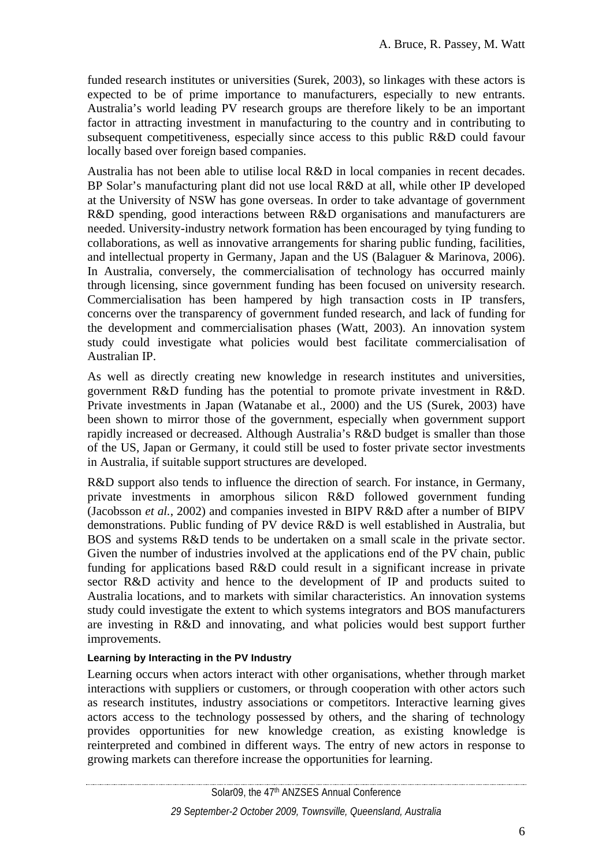funded research institutes or universities (Surek, 2003), so linkages with these actors is expected to be of prime importance to manufacturers, especially to new entrants. Australia's world leading PV research groups are therefore likely to be an important factor in attracting investment in manufacturing to the country and in contributing to subsequent competitiveness, especially since access to this public R&D could favour locally based over foreign based companies.

Australia has not been able to utilise local R&D in local companies in recent decades. BP Solar's manufacturing plant did not use local R&D at all, while other IP developed at the University of NSW has gone overseas. In order to take advantage of government R&D spending, good interactions between R&D organisations and manufacturers are needed. University-industry network formation has been encouraged by tying funding to collaborations, as well as innovative arrangements for sharing public funding, facilities, and intellectual property in Germany, Japan and the US (Balaguer & Marinova, 2006). In Australia, conversely, the commercialisation of technology has occurred mainly through licensing, since government funding has been focused on university research. Commercialisation has been hampered by high transaction costs in IP transfers, concerns over the transparency of government funded research, and lack of funding for the development and commercialisation phases (Watt, 2003). An innovation system study could investigate what policies would best facilitate commercialisation of Australian IP.

As well as directly creating new knowledge in research institutes and universities, government R&D funding has the potential to promote private investment in R&D. Private investments in Japan (Watanabe et al., 2000) and the US (Surek, 2003) have been shown to mirror those of the government, especially when government support rapidly increased or decreased. Although Australia's R&D budget is smaller than those of the US, Japan or Germany, it could still be used to foster private sector investments in Australia, if suitable support structures are developed.

R&D support also tends to influence the direction of search. For instance, in Germany, private investments in amorphous silicon R&D followed government funding (Jacobsson *et al.*, 2002) and companies invested in BIPV R&D after a number of BIPV demonstrations. Public funding of PV device R&D is well established in Australia, but BOS and systems R&D tends to be undertaken on a small scale in the private sector. Given the number of industries involved at the applications end of the PV chain, public funding for applications based R&D could result in a significant increase in private sector R&D activity and hence to the development of IP and products suited to Australia locations, and to markets with similar characteristics. An innovation systems study could investigate the extent to which systems integrators and BOS manufacturers are investing in R&D and innovating, and what policies would best support further improvements.

#### **Learning by Interacting in the PV Industry**

Learning occurs when actors interact with other organisations, whether through market interactions with suppliers or customers, or through cooperation with other actors such as research institutes, industry associations or competitors. Interactive learning gives actors access to the technology possessed by others, and the sharing of technology provides opportunities for new knowledge creation, as existing knowledge is reinterpreted and combined in different ways. The entry of new actors in response to growing markets can therefore increase the opportunities for learning.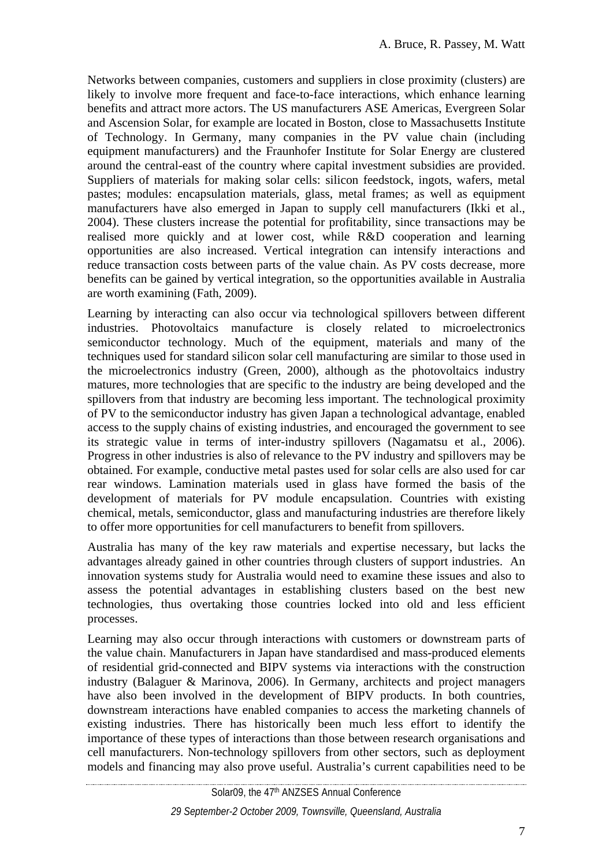Networks between companies, customers and suppliers in close proximity (clusters) are likely to involve more frequent and face-to-face interactions, which enhance learning benefits and attract more actors. The US manufacturers ASE Americas, Evergreen Solar and Ascension Solar, for example are located in Boston, close to Massachusetts Institute of Technology. In Germany, many companies in the PV value chain (including equipment manufacturers) and the Fraunhofer Institute for Solar Energy are clustered around the central-east of the country where capital investment subsidies are provided. Suppliers of materials for making solar cells: silicon feedstock, ingots, wafers, metal pastes; modules: encapsulation materials, glass, metal frames; as well as equipment manufacturers have also emerged in Japan to supply cell manufacturers (Ikki et al., 2004). These clusters increase the potential for profitability, since transactions may be realised more quickly and at lower cost, while R&D cooperation and learning opportunities are also increased. Vertical integration can intensify interactions and reduce transaction costs between parts of the value chain. As PV costs decrease, more benefits can be gained by vertical integration, so the opportunities available in Australia are worth examining (Fath, 2009).

Learning by interacting can also occur via technological spillovers between different industries. Photovoltaics manufacture is closely related to microelectronics semiconductor technology. Much of the equipment, materials and many of the techniques used for standard silicon solar cell manufacturing are similar to those used in the microelectronics industry (Green, 2000), although as the photovoltaics industry matures, more technologies that are specific to the industry are being developed and the spillovers from that industry are becoming less important. The technological proximity of PV to the semiconductor industry has given Japan a technological advantage, enabled access to the supply chains of existing industries, and encouraged the government to see its strategic value in terms of inter-industry spillovers (Nagamatsu et al., 2006). Progress in other industries is also of relevance to the PV industry and spillovers may be obtained. For example, conductive metal pastes used for solar cells are also used for car rear windows. Lamination materials used in glass have formed the basis of the development of materials for PV module encapsulation. Countries with existing chemical, metals, semiconductor, glass and manufacturing industries are therefore likely to offer more opportunities for cell manufacturers to benefit from spillovers.

Australia has many of the key raw materials and expertise necessary, but lacks the advantages already gained in other countries through clusters of support industries. An innovation systems study for Australia would need to examine these issues and also to assess the potential advantages in establishing clusters based on the best new technologies, thus overtaking those countries locked into old and less efficient processes.

Learning may also occur through interactions with customers or downstream parts of the value chain. Manufacturers in Japan have standardised and mass-produced elements of residential grid-connected and BIPV systems via interactions with the construction industry (Balaguer & Marinova, 2006). In Germany, architects and project managers have also been involved in the development of BIPV products. In both countries, downstream interactions have enabled companies to access the marketing channels of existing industries. There has historically been much less effort to identify the importance of these types of interactions than those between research organisations and cell manufacturers. Non-technology spillovers from other sectors, such as deployment models and financing may also prove useful. Australia's current capabilities need to be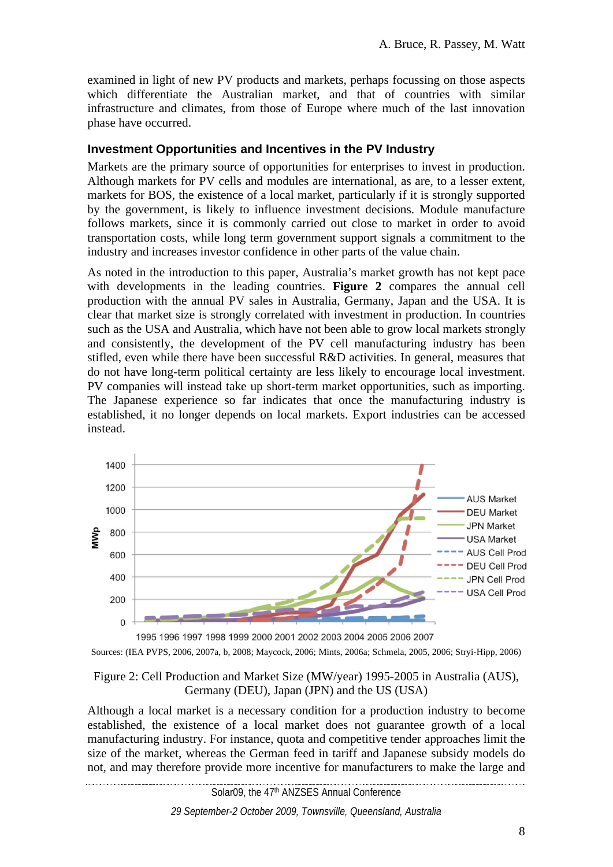examined in light of new PV products and markets, perhaps focussing on those aspects which differentiate the Australian market, and that of countries with similar infrastructure and climates, from those of Europe where much of the last innovation phase have occurred.

#### **Investment Opportunities and Incentives in the PV Industry**

Markets are the primary source of opportunities for enterprises to invest in production. Although markets for PV cells and modules are international, as are, to a lesser extent, markets for BOS, the existence of a local market, particularly if it is strongly supported by the government, is likely to influence investment decisions. Module manufacture follows markets, since it is commonly carried out close to market in order to avoid transportation costs, while long term government support signals a commitment to the industry and increases investor confidence in other parts of the value chain.

As noted in the introduction to this paper, Australia's market growth has not kept pace with developments in the leading countries. **Figure 2** compares the annual cell production with the annual PV sales in Australia, Germany, Japan and the USA. It is clear that market size is strongly correlated with investment in production. In countries such as the USA and Australia, which have not been able to grow local markets strongly and consistently, the development of the PV cell manufacturing industry has been stifled, even while there have been successful R&D activities. In general, measures that do not have long-term political certainty are less likely to encourage local investment. PV companies will instead take up short-term market opportunities, such as importing. The Japanese experience so far indicates that once the manufacturing industry is established, it no longer depends on local markets. Export industries can be accessed instead.



Sources: (IEA PVPS, 2006, 2007a, b, 2008; Maycock, 2006; Mints, 2006a; Schmela, 2005, 2006; Stryi-Hipp, 2006)

#### Figure 2: Cell Production and Market Size (MW/year) 1995-2005 in Australia (AUS), Germany (DEU), Japan (JPN) and the US (USA)

Although a local market is a necessary condition for a production industry to become established, the existence of a local market does not guarantee growth of a local manufacturing industry. For instance, quota and competitive tender approaches limit the size of the market, whereas the German feed in tariff and Japanese subsidy models do not, and may therefore provide more incentive for manufacturers to make the large and

<u> 1989 - Johann Harry Harry Harry Harry Harry Harry Harry Harry Harry Harry Harry Harry Harry Harry Harry Harry</u> Solar09, the 47<sup>th</sup> ANZSES Annual Conference

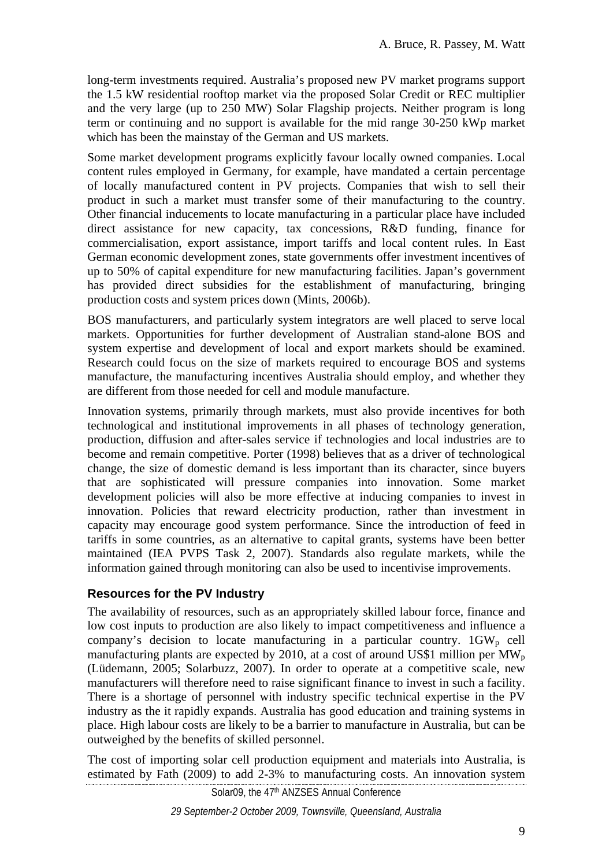long-term investments required. Australia's proposed new PV market programs support the 1.5 kW residential rooftop market via the proposed Solar Credit or REC multiplier and the very large (up to 250 MW) Solar Flagship projects. Neither program is long term or continuing and no support is available for the mid range 30-250 kWp market which has been the mainstay of the German and US markets.

Some market development programs explicitly favour locally owned companies. Local content rules employed in Germany, for example, have mandated a certain percentage of locally manufactured content in PV projects. Companies that wish to sell their product in such a market must transfer some of their manufacturing to the country. Other financial inducements to locate manufacturing in a particular place have included direct assistance for new capacity, tax concessions, R&D funding, finance for commercialisation, export assistance, import tariffs and local content rules. In East German economic development zones, state governments offer investment incentives of up to 50% of capital expenditure for new manufacturing facilities. Japan's government has provided direct subsidies for the establishment of manufacturing, bringing production costs and system prices down (Mints, 2006b).

BOS manufacturers, and particularly system integrators are well placed to serve local markets. Opportunities for further development of Australian stand-alone BOS and system expertise and development of local and export markets should be examined. Research could focus on the size of markets required to encourage BOS and systems manufacture, the manufacturing incentives Australia should employ, and whether they are different from those needed for cell and module manufacture.

Innovation systems, primarily through markets, must also provide incentives for both technological and institutional improvements in all phases of technology generation, production, diffusion and after-sales service if technologies and local industries are to become and remain competitive. Porter (1998) believes that as a driver of technological change, the size of domestic demand is less important than its character, since buyers that are sophisticated will pressure companies into innovation. Some market development policies will also be more effective at inducing companies to invest in innovation. Policies that reward electricity production, rather than investment in capacity may encourage good system performance. Since the introduction of feed in tariffs in some countries, as an alternative to capital grants, systems have been better maintained (IEA PVPS Task 2, 2007). Standards also regulate markets, while the information gained through monitoring can also be used to incentivise improvements.

## **Resources for the PV Industry**

The availability of resources, such as an appropriately skilled labour force, finance and low cost inputs to production are also likely to impact competitiveness and influence a company's decision to locate manufacturing in a particular country.  $1GW_p$  cell manufacturing plants are expected by 2010, at a cost of around US\$1 million per  $MW_p$ (Lüdemann, 2005; Solarbuzz, 2007). In order to operate at a competitive scale, new manufacturers will therefore need to raise significant finance to invest in such a facility. There is a shortage of personnel with industry specific technical expertise in the PV industry as the it rapidly expands. Australia has good education and training systems in place. High labour costs are likely to be a barrier to manufacture in Australia, but can be outweighed by the benefits of skilled personnel.

Solar09, the 47<sup>th</sup> ANZSES Annual Conference The cost of importing solar cell production equipment and materials into Australia, is estimated by Fath (2009) to add 2-3% to manufacturing costs. An innovation system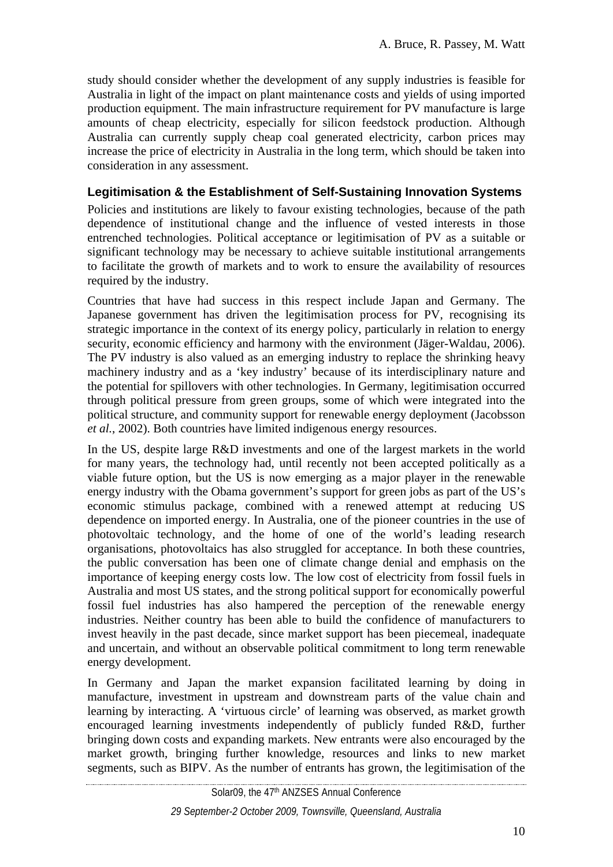study should consider whether the development of any supply industries is feasible for Australia in light of the impact on plant maintenance costs and yields of using imported production equipment. The main infrastructure requirement for PV manufacture is large amounts of cheap electricity, especially for silicon feedstock production. Although Australia can currently supply cheap coal generated electricity, carbon prices may increase the price of electricity in Australia in the long term, which should be taken into consideration in any assessment.

## **Legitimisation & the Establishment of Self-Sustaining Innovation Systems**

Policies and institutions are likely to favour existing technologies, because of the path dependence of institutional change and the influence of vested interests in those entrenched technologies. Political acceptance or legitimisation of PV as a suitable or significant technology may be necessary to achieve suitable institutional arrangements to facilitate the growth of markets and to work to ensure the availability of resources required by the industry.

Countries that have had success in this respect include Japan and Germany. The Japanese government has driven the legitimisation process for PV, recognising its strategic importance in the context of its energy policy, particularly in relation to energy security, economic efficiency and harmony with the environment (Jäger-Waldau, 2006). The PV industry is also valued as an emerging industry to replace the shrinking heavy machinery industry and as a 'key industry' because of its interdisciplinary nature and the potential for spillovers with other technologies. In Germany, legitimisation occurred through political pressure from green groups, some of which were integrated into the political structure, and community support for renewable energy deployment (Jacobsson *et al.*, 2002). Both countries have limited indigenous energy resources.

In the US, despite large R&D investments and one of the largest markets in the world for many years, the technology had, until recently not been accepted politically as a viable future option, but the US is now emerging as a major player in the renewable energy industry with the Obama government's support for green jobs as part of the US's economic stimulus package, combined with a renewed attempt at reducing US dependence on imported energy. In Australia, one of the pioneer countries in the use of photovoltaic technology, and the home of one of the world's leading research organisations, photovoltaics has also struggled for acceptance. In both these countries, the public conversation has been one of climate change denial and emphasis on the importance of keeping energy costs low. The low cost of electricity from fossil fuels in Australia and most US states, and the strong political support for economically powerful fossil fuel industries has also hampered the perception of the renewable energy industries. Neither country has been able to build the confidence of manufacturers to invest heavily in the past decade, since market support has been piecemeal, inadequate and uncertain, and without an observable political commitment to long term renewable energy development.

In Germany and Japan the market expansion facilitated learning by doing in manufacture, investment in upstream and downstream parts of the value chain and learning by interacting. A 'virtuous circle' of learning was observed, as market growth encouraged learning investments independently of publicly funded R&D, further bringing down costs and expanding markets. New entrants were also encouraged by the market growth, bringing further knowledge, resources and links to new market segments, such as BIPV. As the number of entrants has grown, the legitimisation of the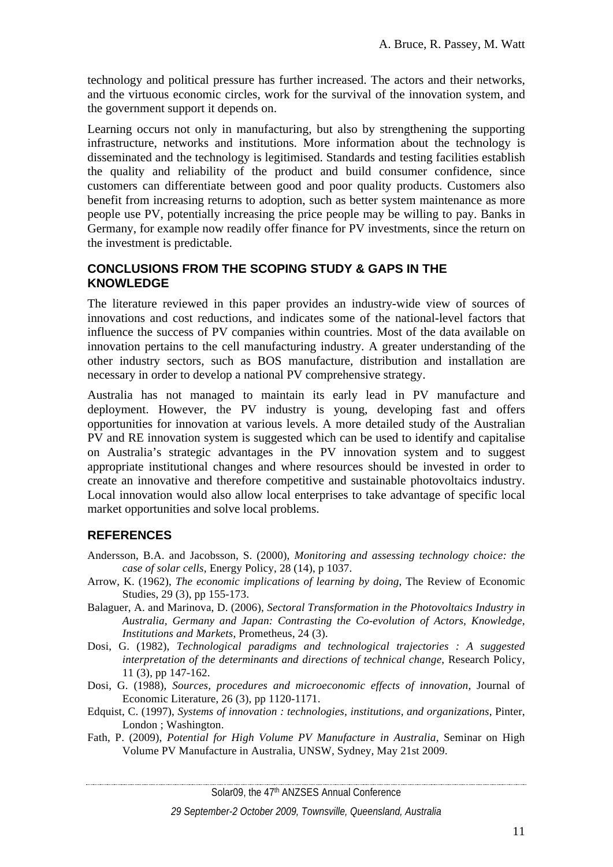technology and political pressure has further increased. The actors and their networks, and the virtuous economic circles, work for the survival of the innovation system, and the government support it depends on.

Learning occurs not only in manufacturing, but also by strengthening the supporting infrastructure, networks and institutions. More information about the technology is disseminated and the technology is legitimised. Standards and testing facilities establish the quality and reliability of the product and build consumer confidence, since customers can differentiate between good and poor quality products. Customers also benefit from increasing returns to adoption, such as better system maintenance as more people use PV, potentially increasing the price people may be willing to pay. Banks in Germany, for example now readily offer finance for PV investments, since the return on the investment is predictable.

### **CONCLUSIONS FROM THE SCOPING STUDY & GAPS IN THE KNOWLEDGE**

The literature reviewed in this paper provides an industry-wide view of sources of innovations and cost reductions, and indicates some of the national-level factors that influence the success of PV companies within countries. Most of the data available on innovation pertains to the cell manufacturing industry. A greater understanding of the other industry sectors, such as BOS manufacture, distribution and installation are necessary in order to develop a national PV comprehensive strategy.

Australia has not managed to maintain its early lead in PV manufacture and deployment. However, the PV industry is young, developing fast and offers opportunities for innovation at various levels. A more detailed study of the Australian PV and RE innovation system is suggested which can be used to identify and capitalise on Australia's strategic advantages in the PV innovation system and to suggest appropriate institutional changes and where resources should be invested in order to create an innovative and therefore competitive and sustainable photovoltaics industry. Local innovation would also allow local enterprises to take advantage of specific local market opportunities and solve local problems.

## **REFERENCES**

- Andersson, B.A. and Jacobsson, S. (2000), *Monitoring and assessing technology choice: the case of solar cells*, Energy Policy, 28 (14), p 1037.
- Arrow, K. (1962), *The economic implications of learning by doing*, The Review of Economic Studies, 29 (3), pp 155-173.
- Balaguer, A. and Marinova, D. (2006), *Sectoral Transformation in the Photovoltaics Industry in Australia, Germany and Japan: Contrasting the Co-evolution of Actors, Knowledge, Institutions and Markets*, Prometheus, 24 (3).
- Dosi, G. (1982), *Technological paradigms and technological trajectories : A suggested interpretation of the determinants and directions of technical change*, Research Policy, 11 (3), pp 147-162.
- Dosi, G. (1988), *Sources, procedures and microeconomic effects of innovation*, Journal of Economic Literature, 26 (3), pp 1120-1171.
- Edquist, C. (1997), *Systems of innovation : technologies, institutions, and organizations*, Pinter, London ; Washington.
- Fath, P. (2009), *Potential for High Volume PV Manufacture in Australia*, Seminar on High Volume PV Manufacture in Australia, UNSW, Sydney, May 21st 2009.

Solar09, the 47<sup>th</sup> ANZSES Annual Conference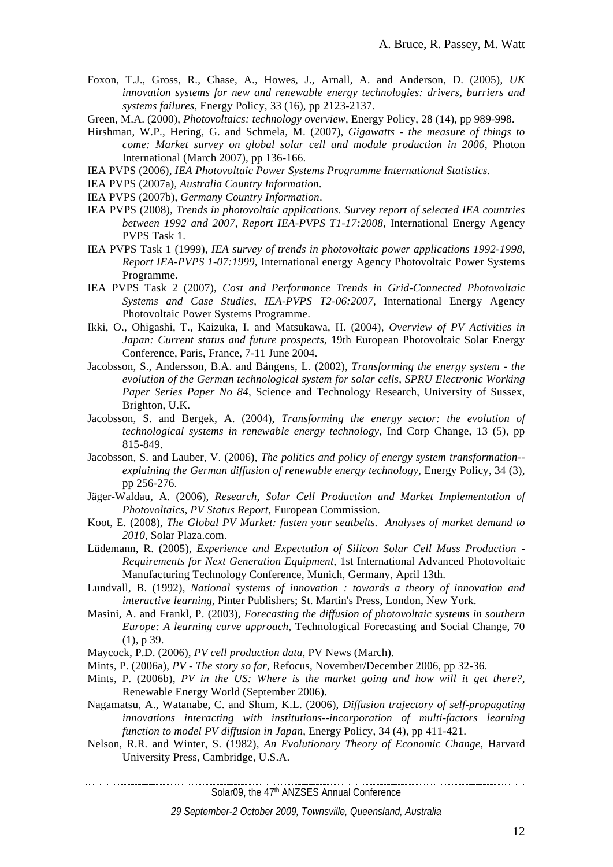- Foxon, T.J., Gross, R., Chase, A., Howes, J., Arnall, A. and Anderson, D. (2005), *UK innovation systems for new and renewable energy technologies: drivers, barriers and systems failures*, Energy Policy, 33 (16), pp 2123-2137.
- Green, M.A. (2000), *Photovoltaics: technology overview*, Energy Policy, 28 (14), pp 989-998.
- Hirshman, W.P., Hering, G. and Schmela, M. (2007), *Gigawatts the measure of things to come: Market survey on global solar cell and module production in 2006*, Photon International (March 2007), pp 136-166.
- IEA PVPS (2006), *IEA Photovoltaic Power Systems Programme International Statistics*.
- IEA PVPS (2007a), *Australia Country Information*.
- IEA PVPS (2007b), *Germany Country Information*.
- IEA PVPS (2008), *Trends in photovoltaic applications. Survey report of selected IEA countries between 1992 and 2007*, *Report IEA-PVPS T1-17:2008*, International Energy Agency PVPS Task 1.
- IEA PVPS Task 1 (1999), *IEA survey of trends in photovoltaic power applications 1992-1998*, *Report IEA-PVPS 1-07:1999*, International energy Agency Photovoltaic Power Systems Programme.
- IEA PVPS Task 2 (2007), *Cost and Performance Trends in Grid-Connected Photovoltaic Systems and Case Studies*, *IEA-PVPS T2-06:2007*, International Energy Agency Photovoltaic Power Systems Programme.
- Ikki, O., Ohigashi, T., Kaizuka, I. and Matsukawa, H. (2004), *Overview of PV Activities in Japan: Current status and future prospects*, 19th European Photovoltaic Solar Energy Conference, Paris, France, 7-11 June 2004.
- Jacobsson, S., Andersson, B.A. and Bångens, L. (2002), *Transforming the energy system the evolution of the German technological system for solar cells*, *SPRU Electronic Working Paper Series Paper No 84*, Science and Technology Research, University of Sussex, Brighton, U.K.
- Jacobsson, S. and Bergek, A. (2004), *Transforming the energy sector: the evolution of technological systems in renewable energy technology*, Ind Corp Change, 13 (5), pp 815-849.
- Jacobsson, S. and Lauber, V. (2006), *The politics and policy of energy system transformation- explaining the German diffusion of renewable energy technology*, Energy Policy, 34 (3), pp 256-276.
- Jäger-Waldau, A. (2006), *Research, Solar Cell Production and Market Implementation of Photovoltaics*, *PV Status Report*, European Commission.
- Koot, E. (2008), *The Global PV Market: fasten your seatbelts. Analyses of market demand to 2010*, Solar Plaza.com.
- Lüdemann, R. (2005), *Experience and Expectation of Silicon Solar Cell Mass Production Requirements for Next Generation Equipment*, 1st International Advanced Photovoltaic Manufacturing Technology Conference, Munich, Germany, April 13th.
- Lundvall, B. (1992), *National systems of innovation : towards a theory of innovation and interactive learning*, Pinter Publishers; St. Martin's Press, London, New York.
- Masini, A. and Frankl, P. (2003), *Forecasting the diffusion of photovoltaic systems in southern Europe: A learning curve approach*, Technological Forecasting and Social Change, 70 (1), p 39.
- Maycock, P.D. (2006), *PV cell production data*, PV News (March).

- Mints, P. (2006a), *PV The story so far*, Refocus, November/December 2006, pp 32-36.
- Mints, P. (2006b), *PV in the US: Where is the market going and how will it get there?*, Renewable Energy World (September 2006).
- Nagamatsu, A., Watanabe, C. and Shum, K.L. (2006), *Diffusion trajectory of self-propagating innovations interacting with institutions--incorporation of multi-factors learning function to model PV diffusion in Japan*, Energy Policy, 34 (4), pp 411-421.
- Nelson, R.R. and Winter, S. (1982), *An Evolutionary Theory of Economic Change*, Harvard University Press, Cambridge, U.S.A.

Solar09, the 47<sup>th</sup> ANZSES Annual Conference